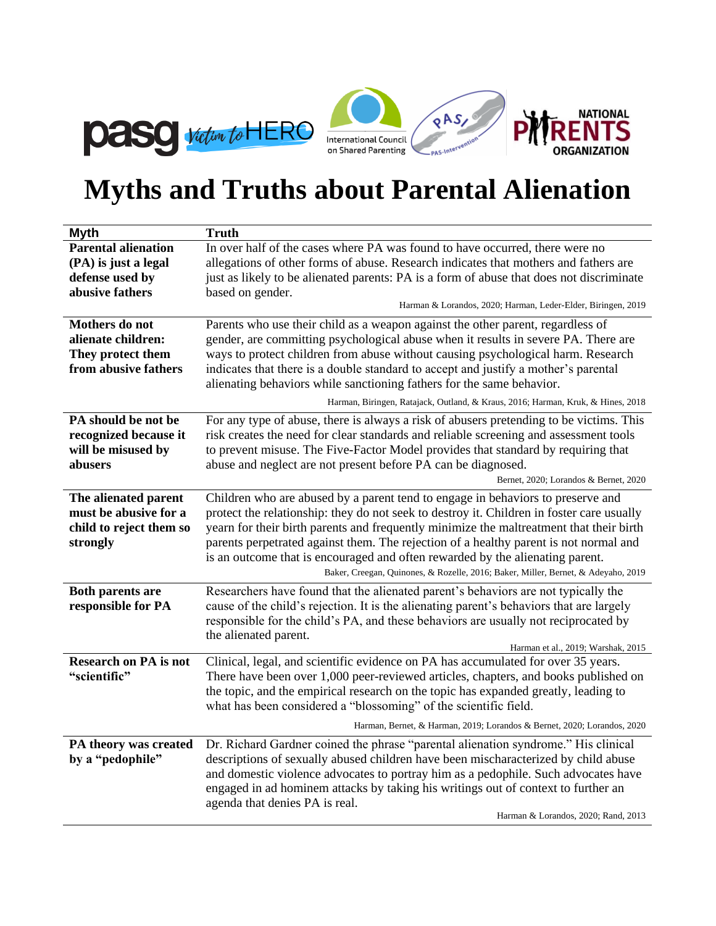

## **Myths and Truths about Parental Alienation**

| <b>Myth</b>                                                                          | <b>Truth</b>                                                                                                                                                                                                                                                                                                                                                                                                                                                                                                                           |  |  |
|--------------------------------------------------------------------------------------|----------------------------------------------------------------------------------------------------------------------------------------------------------------------------------------------------------------------------------------------------------------------------------------------------------------------------------------------------------------------------------------------------------------------------------------------------------------------------------------------------------------------------------------|--|--|
| <b>Parental alienation</b>                                                           | In over half of the cases where PA was found to have occurred, there were no                                                                                                                                                                                                                                                                                                                                                                                                                                                           |  |  |
| (PA) is just a legal                                                                 | allegations of other forms of abuse. Research indicates that mothers and fathers are                                                                                                                                                                                                                                                                                                                                                                                                                                                   |  |  |
| defense used by                                                                      | just as likely to be alienated parents: PA is a form of abuse that does not discriminate                                                                                                                                                                                                                                                                                                                                                                                                                                               |  |  |
| abusive fathers                                                                      | based on gender.                                                                                                                                                                                                                                                                                                                                                                                                                                                                                                                       |  |  |
|                                                                                      | Harman & Lorandos, 2020; Harman, Leder-Elder, Biringen, 2019                                                                                                                                                                                                                                                                                                                                                                                                                                                                           |  |  |
| Mothers do not                                                                       | Parents who use their child as a weapon against the other parent, regardless of                                                                                                                                                                                                                                                                                                                                                                                                                                                        |  |  |
| alienate children:                                                                   | gender, are committing psychological abuse when it results in severe PA. There are                                                                                                                                                                                                                                                                                                                                                                                                                                                     |  |  |
| They protect them                                                                    | ways to protect children from abuse without causing psychological harm. Research                                                                                                                                                                                                                                                                                                                                                                                                                                                       |  |  |
| from abusive fathers                                                                 | indicates that there is a double standard to accept and justify a mother's parental                                                                                                                                                                                                                                                                                                                                                                                                                                                    |  |  |
|                                                                                      | alienating behaviors while sanctioning fathers for the same behavior.                                                                                                                                                                                                                                                                                                                                                                                                                                                                  |  |  |
|                                                                                      | Harman, Biringen, Ratajack, Outland, & Kraus, 2016; Harman, Kruk, & Hines, 2018                                                                                                                                                                                                                                                                                                                                                                                                                                                        |  |  |
| PA should be not be<br>recognized because it<br>will be misused by<br>abusers        | For any type of abuse, there is always a risk of abusers pretending to be victims. This<br>risk creates the need for clear standards and reliable screening and assessment tools<br>to prevent misuse. The Five-Factor Model provides that standard by requiring that<br>abuse and neglect are not present before PA can be diagnosed.                                                                                                                                                                                                 |  |  |
|                                                                                      | Bernet, 2020; Lorandos & Bernet, 2020                                                                                                                                                                                                                                                                                                                                                                                                                                                                                                  |  |  |
| The alienated parent<br>must be abusive for a<br>child to reject them so<br>strongly | Children who are abused by a parent tend to engage in behaviors to preserve and<br>protect the relationship: they do not seek to destroy it. Children in foster care usually<br>yearn for their birth parents and frequently minimize the maltreatment that their birth<br>parents perpetrated against them. The rejection of a healthy parent is not normal and<br>is an outcome that is encouraged and often rewarded by the alienating parent.<br>Baker, Creegan, Quinones, & Rozelle, 2016; Baker, Miller, Bernet, & Adeyaho, 2019 |  |  |
| <b>Both parents are</b><br>responsible for PA                                        | Researchers have found that the alienated parent's behaviors are not typically the<br>cause of the child's rejection. It is the alienating parent's behaviors that are largely<br>responsible for the child's PA, and these behaviors are usually not reciprocated by<br>the alienated parent.<br>Harman et al., 2019; Warshak, 2015                                                                                                                                                                                                   |  |  |
| <b>Research on PA</b> is not<br>"scientific"                                         | Clinical, legal, and scientific evidence on PA has accumulated for over 35 years.<br>There have been over 1,000 peer-reviewed articles, chapters, and books published on<br>the topic, and the empirical research on the topic has expanded greatly, leading to<br>what has been considered a "blossoming" of the scientific field.<br>Harman, Bernet, & Harman, 2019; Lorandos & Bernet, 2020; Lorandos, 2020                                                                                                                         |  |  |
|                                                                                      |                                                                                                                                                                                                                                                                                                                                                                                                                                                                                                                                        |  |  |
| PA theory was created<br>by a "pedophile"                                            | Dr. Richard Gardner coined the phrase "parental alienation syndrome." His clinical<br>descriptions of sexually abused children have been mischaracterized by child abuse<br>and domestic violence advocates to portray him as a pedophile. Such advocates have<br>engaged in ad hominem attacks by taking his writings out of context to further an<br>agenda that denies PA is real.<br>Harman & Lorandos, 2020; Rand, 2013                                                                                                           |  |  |